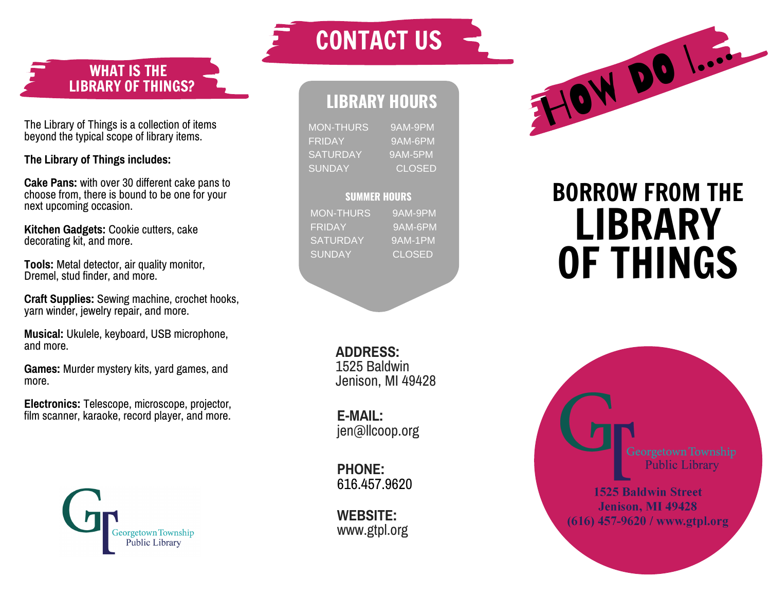WHAT IS THE LIBRARY OF THINGS?

The Library of Things is a collection of items beyond the typical scope of library items.

The Library of Things includes:

**Cake Pans: with over 30 different cake pans to** choose from, there is bound to be one for your next upcoming occasion.

**Kitchen Gadgets:** Cookie cutters, cake decorating kit, and more.

**Tools: Metal detector, air quality monitor,** Dremel, stud finder, and more.

**Craft Supplies:** Sewing machine, crochet hooks, yarn winder, jewelry repair, and more. j

**Musical:** Ukulele, keyboard, USB microphone, a n d m o r e .

Games: Murder mystery kits, yard games, and more.

Electronics: Telescope, microscope, projector, film scanner, karaoke, record player, and more.



## CONTACT US

## LIBRARY HOURS

MON-THURS 9 A M -9 P M F RID A Y 9 A M -6 P M SATURDAY 9 A M -5 P M SUNDAY C L O S E D

## **SUMMER HOURS**

MON-THURS 9AM-9PM **FRIDAY** 9 A M -6 P M SATURDAY 9 A M -1 P M **SUNDAY** C L O S E D

> **ADDRES 1525 Baldwin** 9 4 2 8

**E - M AIL:** jen@llco o p.o r g

**P H O N E:** 616.457.9 6 2 0

**W E B SIT WEBSITE:**<br>www.gtpl.org



## BORROW FROM THE LIBRARY<br>OF THINGS



**1525 Baldwin Street Jenison, MI 49428** (616) 457-9620 / www.gtpl.org